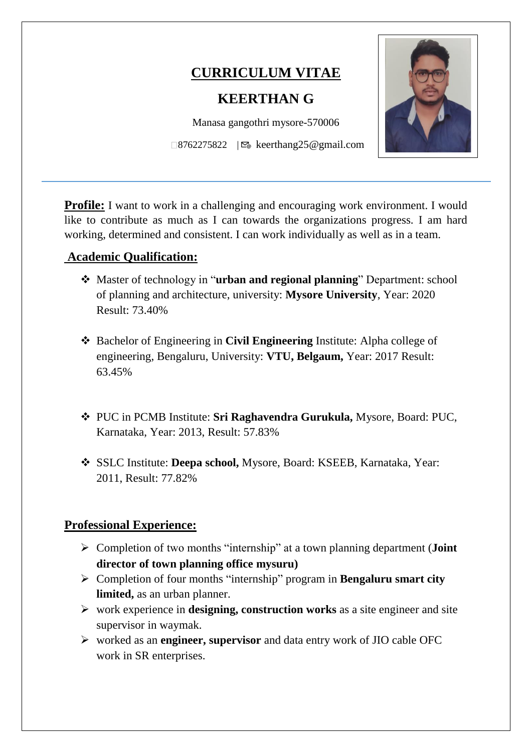# **CURRICULUM VITAE**

# **KEERTHAN G**

Manasa gangothri mysore-570006  $\Box$ 8762275822 |  $\mathfrak{S}_\mathfrak{G}$  keerthang25@gmail.com

**Profile:** I want to work in a challenging and encouraging work environment. I would like to contribute as much as I can towards the organizations progress. I am hard working, determined and consistent. I can work individually as well as in a team.

# **Academic Qualification:**

 $\overline{a}$ 

- Master of technology in "**urban and regional planning**" Department: school of planning and architecture, university: **Mysore University**, Year: 2020 Result: 73.40%
- Bachelor of Engineering in **Civil Engineering** Institute: Alpha college of engineering, Bengaluru, University: **VTU, Belgaum,** Year: 2017 Result: 63.45%
- PUC in PCMB Institute: **Sri Raghavendra Gurukula,** Mysore, Board: PUC, Karnataka, Year: 2013, Result: 57.83%
- SSLC Institute: **Deepa school,** Mysore, Board: KSEEB, Karnataka, Year: 2011, Result: 77.82%

# **Professional Experience:**

- Completion of two months "internship" at a town planning department (**Joint director of town planning office mysuru)**
- Completion of four months "internship" program in **Bengaluru smart city limited,** as an urban planner.
- work experience in **designing, construction works** as a site engineer and site supervisor in waymak.
- worked as an **engineer, supervisor** and data entry work of JIO cable OFC work in SR enterprises.